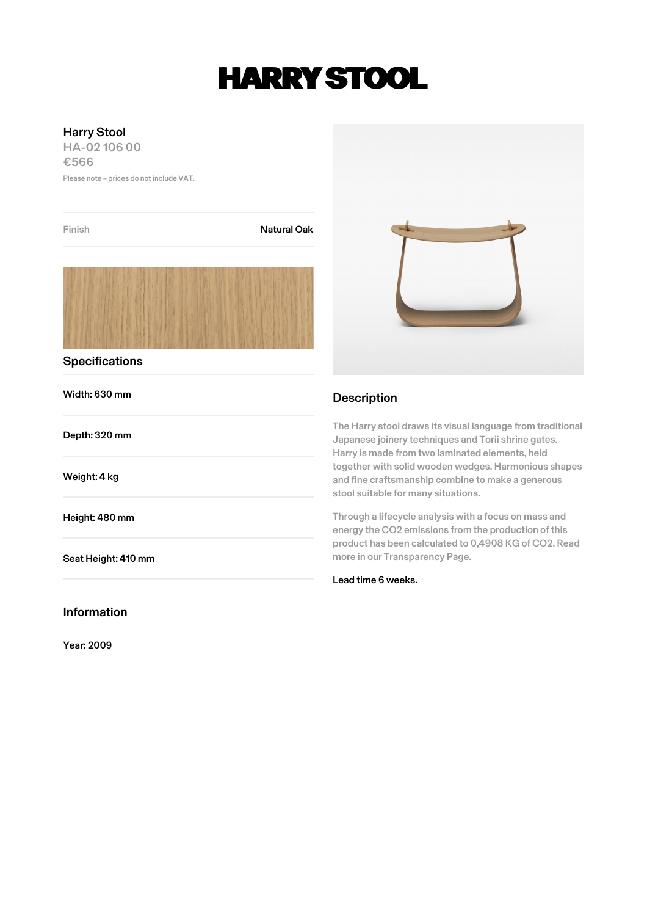## **HARRY STOOL**

## Harry Stool

HA-02 106 00 €566

Please note – prices do not include VAT.

| Finish                | <b>Natural Oak</b> |                                                                                                                                                                                                                                                                                                                                                                                                                                                                                                                                      |  |
|-----------------------|--------------------|--------------------------------------------------------------------------------------------------------------------------------------------------------------------------------------------------------------------------------------------------------------------------------------------------------------------------------------------------------------------------------------------------------------------------------------------------------------------------------------------------------------------------------------|--|
|                       |                    |                                                                                                                                                                                                                                                                                                                                                                                                                                                                                                                                      |  |
| <b>Specifications</b> |                    |                                                                                                                                                                                                                                                                                                                                                                                                                                                                                                                                      |  |
| Width: 630 mm         |                    | <b>Description</b>                                                                                                                                                                                                                                                                                                                                                                                                                                                                                                                   |  |
| Depth: 320 mm         |                    | The Harry stool draws its visual language from traditional<br>Japanese joinery techniques and Torii shrine gates.<br>Harry is made from two laminated elements, held<br>together with solid wooden wedges. Harmonious shapes<br>and fine craftsmanship combine to make a generous<br>stool suitable for many situations.<br>Through a lifecycle analysis with a focus on mass and<br>energy the CO2 emissions from the production of this<br>product has been calculated to 0,4908 KG of CO2. Read<br>more in our Transparency Page. |  |
| Weight: 4 kg          |                    |                                                                                                                                                                                                                                                                                                                                                                                                                                                                                                                                      |  |
| Height: 480 mm        |                    |                                                                                                                                                                                                                                                                                                                                                                                                                                                                                                                                      |  |
| Seat Height: 410 mm   |                    |                                                                                                                                                                                                                                                                                                                                                                                                                                                                                                                                      |  |
|                       |                    | Lead time 6 weeks.                                                                                                                                                                                                                                                                                                                                                                                                                                                                                                                   |  |
| <b>Information</b>    |                    |                                                                                                                                                                                                                                                                                                                                                                                                                                                                                                                                      |  |
| Year: 2009            |                    |                                                                                                                                                                                                                                                                                                                                                                                                                                                                                                                                      |  |
|                       |                    |                                                                                                                                                                                                                                                                                                                                                                                                                                                                                                                                      |  |